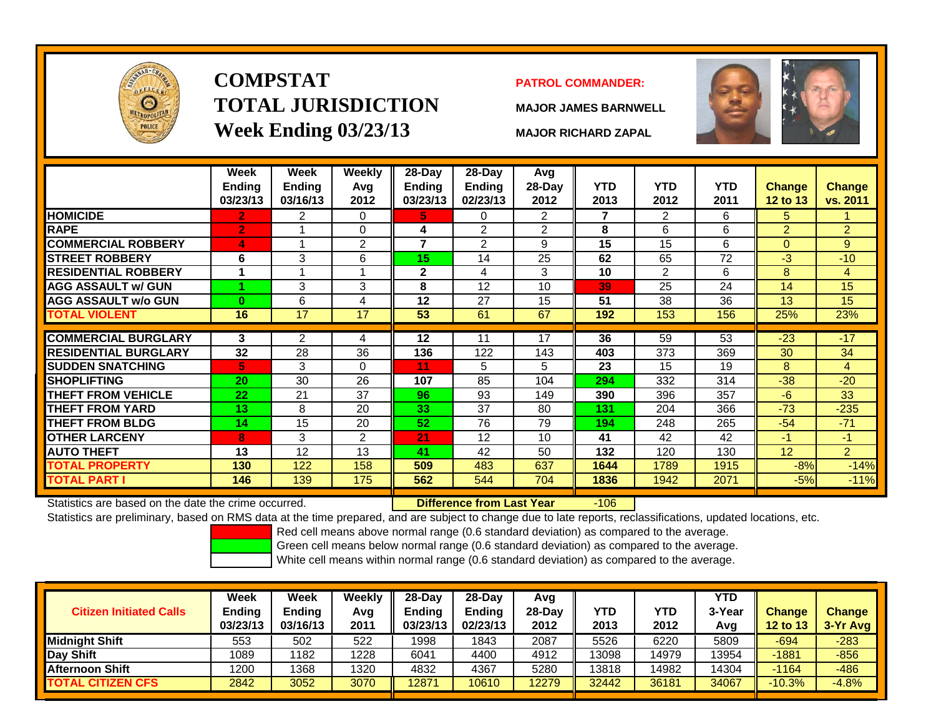

# **COMPSTATTOTAL JURISDICTIONWeek Ending 03/23/13 MAJOR RICHARD ZAPAL**

## **PATROL COMMANDER:**

**MAJOR JAMES BARNWELL**



|                                                      | Week<br><b>Ending</b><br>03/23/13 | Week<br><b>Ending</b><br>03/16/13 | <b>Weekly</b><br>Avg<br>2012 | 28-Day<br>Ending<br>03/23/13 | 28-Day<br><b>Ending</b><br>02/23/13 | Avg<br>28-Day<br>2012 | <b>YTD</b><br>2013 | <b>YTD</b><br>2012 | <b>YTD</b><br>2011 | <b>Change</b><br>12 to 13 | <b>Change</b><br>vs. 2011 |
|------------------------------------------------------|-----------------------------------|-----------------------------------|------------------------------|------------------------------|-------------------------------------|-----------------------|--------------------|--------------------|--------------------|---------------------------|---------------------------|
| <b>HOMICIDE</b>                                      | 2.                                | $\overline{2}$                    | 0                            | 5.                           | 0                                   | $\overline{2}$        | 7                  | 2                  | 6                  | 5                         |                           |
| <b>RAPE</b>                                          | 2                                 |                                   | $\mathbf 0$                  | 4                            | $\overline{2}$                      | $\overline{2}$        | 8                  | 6                  | 6                  | 2                         | $\overline{2}$            |
| <b>COMMERCIAL ROBBERY</b>                            | 4                                 |                                   | $\overline{2}$               | 7                            | $\overline{2}$                      | 9                     | 15                 | 15                 | 6                  | $\mathbf{0}$              | 9 <sup>°</sup>            |
| <b>STREET ROBBERY</b>                                | 6                                 | 3                                 | 6                            | 15                           | 14                                  | 25                    | 62                 | 65                 | 72                 | $-3$                      | $-10$                     |
| <b>RESIDENTIAL ROBBERY</b>                           |                                   | $\blacktriangleleft$              | 1                            | $\mathbf{2}$                 | 4                                   | 3                     | 10                 | $\mathfrak{p}$     | 6                  | 8                         | $\overline{4}$            |
| <b>AGG ASSAULT w/ GUN</b>                            |                                   | 3                                 | 3                            | 8                            | 12                                  | 10                    | 39                 | 25                 | 24                 | 14                        | 15                        |
| <b>AGG ASSAULT w/o GUN</b>                           | $\bf{0}$                          | 6                                 | 4                            | 12                           | 27                                  | 15                    | 51                 | 38                 | 36                 | 13                        | 15                        |
| <b>TOTAL VIOLENT</b>                                 | 16                                | 17                                | 17                           | 53                           | 61                                  | 67                    | 192                | 153                | 156                | 25%                       | 23%                       |
|                                                      |                                   |                                   |                              |                              |                                     |                       |                    |                    |                    |                           |                           |
| <b>COMMERCIAL BURGLARY</b>                           | 3                                 | $\overline{2}$                    | 4                            | 12                           | 11                                  | 17                    | 36                 | 59                 | 53                 | $-23$                     | $-17$                     |
| <b>RESIDENTIAL BURGLARY</b>                          | 32                                | 28                                | 36                           | 136                          | 122                                 | 143                   | 403                | 373                | 369                | 30                        | 34                        |
| <b>SUDDEN SNATCHING</b>                              | 5                                 | 3                                 | $\mathbf 0$                  | 11                           | 5                                   | 5                     | 23                 | 15                 | 19                 | 8                         | $\overline{4}$            |
| <b>SHOPLIFTING</b>                                   | 20                                | 30                                | 26                           | 107                          | 85                                  | 104                   | 294                | 332                | 314                | $-38$                     | $-20$                     |
| <b>THEFT FROM VEHICLE</b>                            | 22                                | 21                                | 37                           | 96                           | 93                                  | 149                   | 390                | 396                | 357                | $-6$                      | 33                        |
| <b>THEFT FROM YARD</b>                               | 13                                | 8                                 | 20                           | 33                           | 37                                  | 80                    | 131                | 204                | 366                | $-73$                     | $-235$                    |
| <b>THEFT FROM BLDG</b>                               | 14                                | 15                                | 20                           | 52                           | 76                                  | 79                    | 194                | 248                | 265                | $-54$                     | $-71$                     |
| <b>OTHER LARCENY</b>                                 | 8                                 | 3                                 | 2                            | 21                           | 12                                  | 10                    | 41                 | 42                 | 42                 | $-1$                      | $-1$                      |
| <b>AUTO THEFT</b>                                    | 13                                | 12                                | 13                           | 41                           | 42                                  | 50                    | 132                | 120                | 130                | 12                        | $\overline{2}$            |
| <b>TOTAL PROPERTY</b>                                | 130                               | 122                               | 158                          | 509                          | 483                                 | 637                   | 1644               | 1789               | 1915               | $-8%$                     | $-14%$                    |
| TOTAL PART I                                         | 146                               | 139                               | 175                          | 562                          | 544                                 | 704                   | 1836               | 1942               | 2071               | $-5%$                     | $-11%$                    |
| Statistics are based on the date the crime occurred. |                                   |                                   |                              |                              | Difference from Last Year           |                       | $-106$             |                    |                    |                           |                           |

Statistics are based on the date the crime occurred. **Difference from Last Year** 

Statistics are preliminary, based on RMS data at the time prepared, and are subject to change due to late reports, reclassifications, updated locations, etc.

Red cell means above normal range (0.6 standard deviation) as compared to the average.

Green cell means below normal range (0.6 standard deviation) as compared to the average.

| <b>Citizen Initiated Calls</b> | Week<br>Ending<br>03/23/13 | <b>Week</b><br><b>Ending</b><br>03/16/13 | Weekly<br>Avg<br>2011 | $28-Dav$<br><b>Endina</b><br>03/23/13 | 28-Day<br><b>Ending</b><br>02/23/13 | Avg<br>$28-Dav$<br>2012 | YTD<br>2013 | YTD<br>2012 | <b>YTD</b><br>3-Year<br>Avg | <b>Change</b><br><b>12 to 13</b> | <b>Change</b><br>3-Yr Avg |
|--------------------------------|----------------------------|------------------------------------------|-----------------------|---------------------------------------|-------------------------------------|-------------------------|-------------|-------------|-----------------------------|----------------------------------|---------------------------|
| Midniaht Shift                 | 553                        | 502                                      | 522                   | 1998                                  | 1843                                | 2087                    | 5526        | 6220        | 5809                        | $-694$                           | $-283$                    |
| Day Shift                      | 1089                       | 1182                                     | 1228                  | 6041                                  | 4400                                | 4912                    | 13098       | 14979       | 13954                       | $-1881$                          | $-856$                    |
| <b>Afternoon Shift</b>         | 1200                       | 1368                                     | 1320                  | 4832                                  | 4367                                | 5280                    | 13818       | 4982        | 14304                       | $-1164$                          | -486                      |
| <b>TOTAL CITIZEN CFS</b>       | 2842                       | 3052                                     | 3070                  | 12871                                 | 10610                               | 12279                   | 32442       | 36181       | 34067                       | $-10.3%$                         | $-4.8%$                   |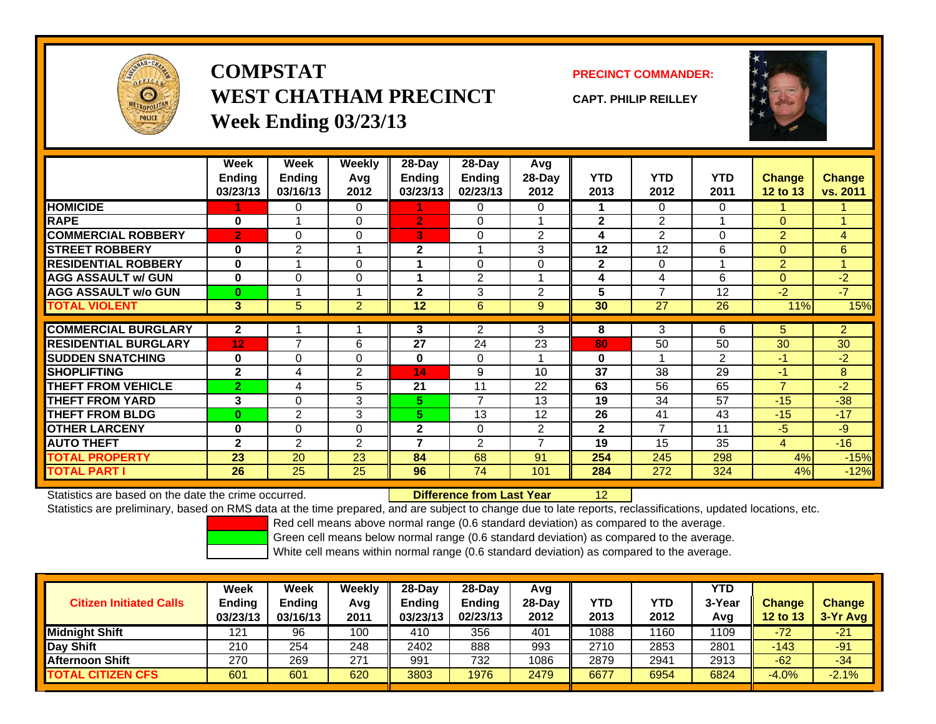

**COMPSTATWEST CHATHAM PRECINCTWeek Ending 03/23/13**

**PRECINCT COMMANDER:**

**CAPT. PHILIP REILLEY**



|                             | Week            | Week           | Weekly         | $28-Day$       | $28-Day$       | <b>Avg</b>     |              |                          |            |                |                |
|-----------------------------|-----------------|----------------|----------------|----------------|----------------|----------------|--------------|--------------------------|------------|----------------|----------------|
|                             | <b>Ending</b>   | <b>Ending</b>  | Avg            | Ending         | <b>Ending</b>  | 28-Day         | <b>YTD</b>   | <b>YTD</b>               | <b>YTD</b> | <b>Change</b>  | <b>Change</b>  |
|                             | 03/23/13        | 03/16/13       | 2012           | 03/23/13       | 02/23/13       | 2012           | 2013         | 2012                     | 2011       | 12 to 13       | vs. 2011       |
| <b>HOMICIDE</b>             |                 | 0              | 0              |                | 0              | 0              |              | $\Omega$                 | $\Omega$   |                |                |
| <b>RAPE</b>                 | $\bf{0}$        |                | 0              | $\overline{2}$ | 0              |                | $\mathbf 2$  | $\overline{2}$           |            | $\Omega$       | 1              |
| <b>COMMERCIAL ROBBERY</b>   | $\overline{2}$  | $\Omega$       | 0              | 3              | 0              | $\overline{2}$ | 4            | $\overline{2}$           | $\Omega$   | $\overline{2}$ | $\overline{4}$ |
| <b>STREET ROBBERY</b>       | $\bf{0}$        | 2              |                | 2              |                | 3              | 12           | 12                       | 6          | $\Omega$       | 6              |
| <b>RESIDENTIAL ROBBERY</b>  | $\bf{0}$        |                | 0              |                | $\Omega$       | $\Omega$       | $\mathbf{2}$ | $\Omega$                 |            | $\overline{2}$ | 1              |
| <b>AGG ASSAULT w/ GUN</b>   | $\bf{0}$        | $\Omega$       | 0              |                | $\overline{2}$ |                | 4            | 4                        | 6          | $\Omega$       | $-2$           |
| <b>AGG ASSAULT w/o GUN</b>  | $\bf{0}$        |                |                | $\overline{2}$ | 3              | $\overline{2}$ | 5            | $\overline{\phantom{a}}$ | 12         | $-2$           | $-7$           |
| <b>TOTAL VIOLENT</b>        | 3 <sup>2</sup>  | 5              | $\overline{2}$ | 12             | $6\phantom{1}$ | 9              | 30           | 27                       | 26         | 11%            | 15%            |
|                             |                 |                |                |                |                |                |              |                          |            |                |                |
| <b>COMMERCIAL BURGLARY</b>  | $\mathbf{2}$    |                |                | 3              | $\overline{2}$ | 3              | 8            | 3                        | 6          | 5              | $\overline{2}$ |
| <b>RESIDENTIAL BURGLARY</b> | 12 <sub>2</sub> | $\overline{7}$ | 6              | 27             | 24             | 23             | 80           | 50                       | 50         | 30             | 30             |
| <b>SUDDEN SNATCHING</b>     | $\bf{0}$        | 0              | 0              | $\bf{0}$       | 0              |                | $\bf{0}$     |                          | 2          | $-1$           | $-2$           |
| <b>SHOPLIFTING</b>          | $\mathbf{2}$    | 4              | 2              | 14             | 9              | 10             | 37           | 38                       | 29         | $-1$           | 8              |
| <b>THEFT FROM VEHICLE</b>   | $\overline{2}$  | 4              | 5              | 21             | 11             | 22             | 63           | 56                       | 65         | $\overline{7}$ | $-2$           |
| <b>THEFT FROM YARD</b>      | 3               | $\Omega$       | 3              | 5.             | $\overline{7}$ | 13             | 19           | 34                       | 57         | $-15$          | $-38$          |
| <b>THEFT FROM BLDG</b>      | $\bf{0}$        | $\overline{2}$ | 3              | 5.             | 13             | 12             | 26           | 41                       | 43         | $-15$          | $-17$          |
| <b>OTHER LARCENY</b>        | $\bf{0}$        | $\Omega$       | 0              | $\mathbf{2}$   | 0              | 2              | $\mathbf{2}$ | 7                        | 11         | $-5$           | $-9$           |
| <b>AUTO THEFT</b>           | $\mathbf{2}$    | 2              | $\overline{2}$ | 7              | 2              | $\overline{ }$ | 19           | 15                       | 35         | $\overline{4}$ | $-16$          |
| <b>TOTAL PROPERTY</b>       | 23              | 20             | 23             | 84             | 68             | 91             | 254          | 245                      | 298        | 4%             | $-15%$         |
| <b>TOTAL PART I</b>         | 26              | 25             | 25             | 96             | 74             | 101            | 284          | 272                      | 324        | 4%             | $-12%$         |

Statistics are based on the date the crime occurred. **Difference from Last Year** 

Statistics are preliminary, based on RMS data at the time prepared, and are subject to change due to late reports, reclassifications, updated locations, etc.

12

Red cell means above normal range (0.6 standard deviation) as compared to the average.

Green cell means below normal range (0.6 standard deviation) as compared to the average.

| <b>Citizen Initiated Calls</b> | Week<br>Ending<br>03/23/13 | <b>Week</b><br><b>Ending</b><br>03/16/13 | Weekly<br>Avg<br>2011 | $28-Day$<br><b>Ending</b><br>03/23/13 | 28-Dav<br><b>Ending</b><br>02/23/13 | Avg<br>28-Day<br>2012 | YTD<br>2013 | YTD<br>2012 | <b>YTD</b><br>3-Year<br>Avg | <b>Change</b><br><b>12 to 13</b> | <b>Change</b><br>3-Yr Avg |
|--------------------------------|----------------------------|------------------------------------------|-----------------------|---------------------------------------|-------------------------------------|-----------------------|-------------|-------------|-----------------------------|----------------------------------|---------------------------|
| <b>Midnight Shift</b>          | 121                        | 96                                       | 100                   | 410                                   | 356                                 | 401                   | 1088        | 160         | 1109                        | $-72$                            | $-21$                     |
| Day Shift                      | 210                        | 254                                      | 248                   | 2402                                  | 888                                 | 993                   | 2710        | 2853        | 2801                        | -143                             | $-91$                     |
| <b>Afternoon Shift</b>         | 270                        | 269                                      | 271                   | 991                                   | 732                                 | 1086                  | 2879        | 2941        | 2913                        | $-62$                            | $-34$                     |
| <b>TOTAL CITIZEN CFS</b>       | 601                        | 601                                      | 620                   | 3803                                  | 1976                                | 2479                  | 6677        | 6954        | 6824                        | $-4.0%$                          | $-2.1%$                   |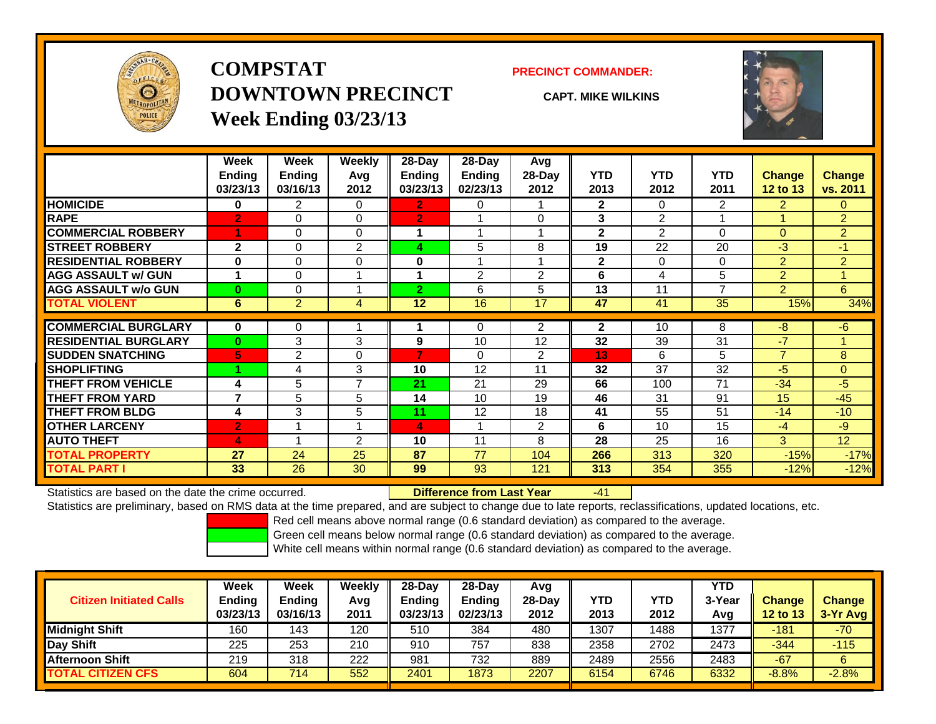

**COMPSTATDOWNTOWN PRECINCTWeek Ending 03/23/13**

### **PRECINCT COMMANDER:**

**CAPT. MIKE WILKINS**

-41



|                             | Week           | Week           | <b>Weekly</b>  | $28$ -Day      | $28 - Day$    | Avg                     |              |                |                |                 |                |
|-----------------------------|----------------|----------------|----------------|----------------|---------------|-------------------------|--------------|----------------|----------------|-----------------|----------------|
|                             | <b>Ending</b>  | <b>Ending</b>  | Avg            | Ending         | <b>Ending</b> | 28-Day                  | <b>YTD</b>   | <b>YTD</b>     | <b>YTD</b>     | <b>Change</b>   | Change         |
|                             | 03/23/13       | 03/16/13       | 2012           | 03/23/13       | 02/23/13      | 2012                    | 2013         | 2012           | 2011           | <b>12 to 13</b> | vs. 2011       |
| <b>HOMICIDE</b>             | 0              | $\overline{2}$ | 0              | 2              | $\Omega$      |                         | $\mathbf{2}$ | $\Omega$       | $\overline{2}$ | $\overline{2}$  | $\Omega$       |
| <b>RAPE</b>                 | $\overline{2}$ | $\Omega$       | $\Omega$       | $\overline{2}$ |               | $\Omega$                | 3            | $\overline{2}$ |                |                 | $\overline{2}$ |
| <b>COMMERCIAL ROBBERY</b>   | 1              | 0              | $\Omega$       |                |               |                         | $\mathbf{2}$ | $\overline{2}$ | $\Omega$       | $\Omega$        | $\overline{2}$ |
| <b>STREET ROBBERY</b>       | $\mathbf{2}$   | $\Omega$       | 2              | 4              | 5             | 8                       | 19           | 22             | 20             | -3              | $-1$           |
| <b>RESIDENTIAL ROBBERY</b>  | $\bf{0}$       | $\Omega$       | $\Omega$       | $\bf{0}$       |               | $\overline{\mathbf{A}}$ | $\mathbf{2}$ | $\Omega$       | 0              | 2               | $\overline{2}$ |
| <b>AGG ASSAULT w/ GUN</b>   | 1              | $\Omega$       |                |                | 2             | $\overline{2}$          | 6            | 4              | 5              | $\overline{2}$  |                |
| <b>AGG ASSAULT w/o GUN</b>  | $\bf{0}$       | 0              |                | $2^{\circ}$    | 6             | 5                       | 13           | 11             | $\overline{ }$ | 2               | 6              |
| <b>TOTAL VIOLENT</b>        | 6              | $\overline{2}$ | 4              | 12             | 16            | 17                      | 47           | 41             | 35             | 15%             | 34%            |
| <b>COMMERCIAL BURGLARY</b>  | $\bf{0}$       | 0              |                |                | $\mathbf{0}$  | 2                       | $\mathbf{2}$ | 10             | 8              | -8              | $-6$           |
| <b>RESIDENTIAL BURGLARY</b> | $\bf{0}$       | 3              | 3              | 9              | 10            | 12                      | 32           | 39             | 31             | $-7$            |                |
| <b>SUDDEN SNATCHING</b>     | 5              | 2              | $\Omega$       | 7              | $\Omega$      | $\overline{2}$          | 13           | 6              | 5              | $\overline{7}$  | 8              |
| <b>SHOPLIFTING</b>          |                | 4              | 3              | 10             | 12            | 11                      | 32           | 37             | 32             | -5              | $\Omega$       |
| <b>THEFT FROM VEHICLE</b>   | 4              | 5              | $\overline{7}$ | 21             | 21            | 29                      | 66           | 100            | 71             | $-34$           | $-5$           |
| <b>THEFT FROM YARD</b>      | $\overline{7}$ | 5              | 5              | 14             | 10            | 19                      | 46           | 31             | 91             | 15              | $-45$          |
| <b>THEFT FROM BLDG</b>      | 4              | 3              | 5              | 11             | 12            | 18                      | 41           | 55             | 51             | $-14$           | $-10$          |
| <b>OTHER LARCENY</b>        | $\overline{2}$ | 4              | 4              | 4              |               | $\overline{2}$          | 6            | 10             | 15             | -4              | $-9$           |
| <b>AUTO THEFT</b>           | 4              |                | 2              | 10             | 11            | 8                       | 28           | 25             | 16             | 3               | 12             |
| <b>TOTAL PROPERTY</b>       | 27             | 24             | 25             | 87             | 77            | 104                     | 266          | 313            | 320            | $-15%$          | $-17%$         |
| <b>TOTAL PART I</b>         | 33             | 26             | 30             | 99             | 93            | 121                     | 313          | 354            | 355            | $-12%$          | $-12%$         |

Statistics are based on the date the crime occurred. **Difference from Last Year** 

Statistics are preliminary, based on RMS data at the time prepared, and are subject to change due to late reports, reclassifications, updated locations, etc.

Red cell means above normal range (0.6 standard deviation) as compared to the average.

Green cell means below normal range (0.6 standard deviation) as compared to the average.

| <b>Citizen Initiated Calls</b> | Week<br><b>Ending</b><br>03/23/13 | Week<br><b>Ending</b><br>03/16/13 | Weekly<br>Avg<br>2011 | 28-Day<br><b>Ending</b><br>03/23/13 | 28-Day<br>Ending<br>02/23/13 | Avg<br>28-Dav<br>2012 | YTD<br>2013 | YTD<br>2012 | <b>YTD</b><br>3-Year<br>Avg | <b>Change</b><br><b>12 to 13</b> | <b>Change</b><br>3-Yr Avg |
|--------------------------------|-----------------------------------|-----------------------------------|-----------------------|-------------------------------------|------------------------------|-----------------------|-------------|-------------|-----------------------------|----------------------------------|---------------------------|
| Midnight Shift                 | 160                               | 143                               | 120                   | 510                                 | 384                          | 480                   | 1307        | 1488        | 1377                        | $-181$                           | $-70$                     |
| Day Shift                      | 225                               | 253                               | 210                   | 910                                 | 757                          | 838                   | 2358        | 2702        | 2473                        | $-344$                           | $-115$                    |
| <b>Afternoon Shift</b>         | 219                               | 318                               | 222                   | 981                                 | 732                          | 889                   | 2489        | 2556        | 2483                        | $-67$                            | 6                         |
| <b>TOTAL CITIZEN CFS</b>       | 604                               | 714                               | 552                   | 2401                                | 1873                         | 2207                  | 6154        | 6746        | 6332                        | $-8.8%$                          | $-2.8%$                   |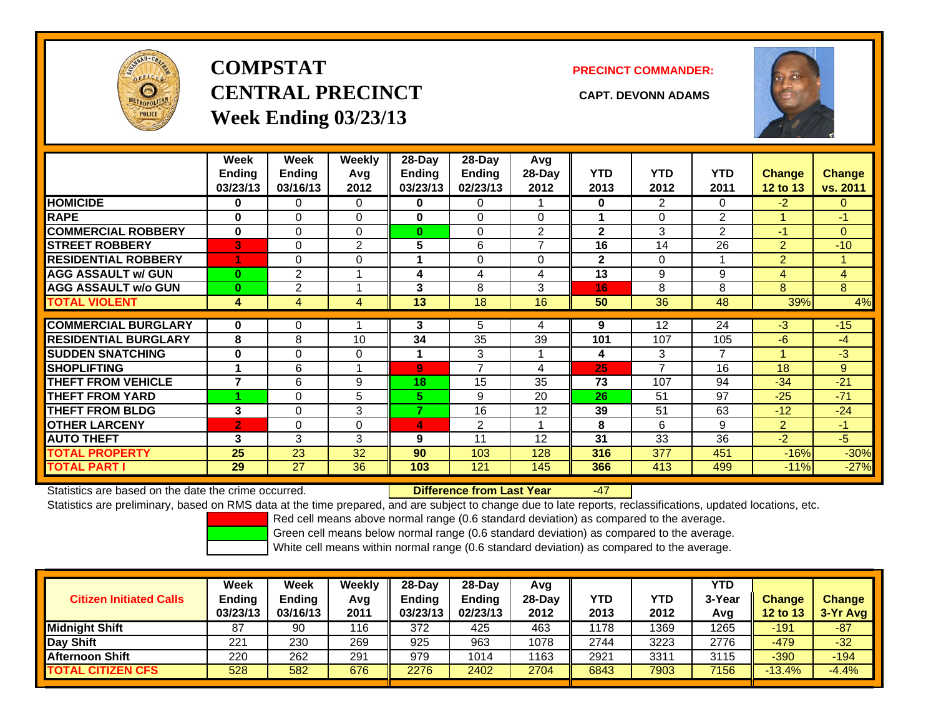

# **COMPSTATCENTRAL PRECINCT CAPT. DEVONN ADAMSWeek Ending 03/23/13**

**PRECINCT COMMANDER:**



|                             | Week<br><b>Ending</b><br>03/23/13 | Week<br>Ending<br>03/16/13 | Weekly<br>Avg<br>2012 | $28$ -Day<br>Ending<br>03/23/13 | 28-Day<br><b>Ending</b><br>02/23/13 | Avg<br>$28-Day$<br>2012 | <b>YTD</b><br>2013 | <b>YTD</b><br>2012 | <b>YTD</b><br>2011 | <b>Change</b><br><b>12 to 13</b> | <b>Change</b><br>vs. 2011 |
|-----------------------------|-----------------------------------|----------------------------|-----------------------|---------------------------------|-------------------------------------|-------------------------|--------------------|--------------------|--------------------|----------------------------------|---------------------------|
| <b>HOMICIDE</b>             | 0                                 | 0                          | 0                     | 0                               | 0                                   |                         | $\mathbf{0}$       | $\overline{2}$     | 0                  | $-2$                             | $\Omega$                  |
| <b>RAPE</b>                 | 0                                 | 0                          | $\Omega$              | 0                               | $\Omega$                            | $\Omega$                |                    | $\Omega$           | $\overline{2}$     |                                  | $-1$                      |
| <b>COMMERCIAL ROBBERY</b>   | $\bf{0}$                          | 0                          | $\Omega$              | 0                               | $\Omega$                            | $\overline{2}$          | $\mathbf{2}$       | 3                  | $\overline{2}$     | $-1$                             | $\overline{0}$            |
| <b>STREET ROBBERY</b>       | 3                                 | 0                          | 2                     | 5                               | 6                                   | $\overline{ }$          | 16                 | 14                 | 26                 | 2                                | $-10$                     |
| <b>RESIDENTIAL ROBBERY</b>  |                                   | 0                          | $\Omega$              |                                 | $\Omega$                            | $\Omega$                | $\mathbf{2}$       | $\Omega$           |                    | $\overline{2}$                   |                           |
| <b>AGG ASSAULT w/ GUN</b>   | $\bf{0}$                          | $\overline{2}$             |                       | 4                               | 4                                   | 4                       | 13                 | 9                  | 9                  | 4                                | $\overline{4}$            |
| <b>AGG ASSAULT w/o GUN</b>  | $\bf{0}$                          | $\overline{2}$             |                       | 3                               | 8                                   | 3                       | 16                 | 8                  | 8                  | 8                                | 8                         |
| <b>TOTAL VIOLENT</b>        | 4                                 | 4                          | 4                     | 13                              | 18                                  | 16                      | 50                 | 36                 | 48                 | 39%                              | 4%                        |
|                             |                                   |                            |                       |                                 |                                     |                         |                    |                    |                    |                                  |                           |
| <b>COMMERCIAL BURGLARY</b>  | 0                                 | 0                          |                       | 3                               | 5                                   | 4                       | 9                  | 12                 | 24                 | $-3$                             | $-15$                     |
| <b>RESIDENTIAL BURGLARY</b> | 8                                 | 8                          | 10                    | 34                              | 35                                  | 39                      | 101                | 107                | 105                | $-6$                             | -4                        |
| <b>SUDDEN SNATCHING</b>     | $\bf{0}$                          | 0                          | 0                     |                                 | 3                                   |                         | 4                  | 3                  | 7                  |                                  | $-3$                      |
| <b>SHOPLIFTING</b>          |                                   | 6                          |                       | $\overline{9}$                  | $\overline{ }$                      | 4                       | 25                 | $\overline{ }$     | 16                 | 18                               | 9                         |
| <b>THEFT FROM VEHICLE</b>   | 7                                 | 6                          | 9                     | 18                              | 15                                  | 35                      | 73                 | 107                | 94                 | $-34$                            | $-21$                     |
| <b>THEFT FROM YARD</b>      |                                   | 0                          | 5                     | 5                               | 9                                   | 20                      | 26                 | 51                 | 97                 | $-25$                            | $-71$                     |
| <b>THEFT FROM BLDG</b>      | 3                                 | 0                          | 3                     | $\overline{\phantom{a}}$        | 16                                  | 12                      | 39                 | 51                 | 63                 | $-12$                            | $-24$                     |
| <b>OTHER LARCENY</b>        | $\overline{2}$                    | 0                          | 0                     | 4                               | $\overline{2}$                      | 1                       | 8                  | 6                  | 9                  | 2                                | $-1$                      |
| <b>AUTO THEFT</b>           | 3                                 | 3                          | 3                     | 9                               | 11                                  | 12                      | 31                 | 33                 | 36                 | $-2$                             | $-5$                      |
| <b>TOTAL PROPERTY</b>       | 25                                | 23                         | 32                    | 90                              | 103                                 | 128                     | 316                | 377                | 451                | $-16%$                           | $-30%$                    |
| <b>TOTAL PART I</b>         | 29                                | 27                         | 36                    | 103                             | 121                                 | 145                     | 366                | 413                | 499                | $-11%$                           | $-27%$                    |

Statistics are based on the date the crime occurred. **Difference from Last Year** 

-47

Statistics are preliminary, based on RMS data at the time prepared, and are subject to change due to late reports, reclassifications, updated locations, etc.

Red cell means above normal range (0.6 standard deviation) as compared to the average.

Green cell means below normal range (0.6 standard deviation) as compared to the average.

|                                | Week          | Week          | Weeklv | 28-Dav   | 28-Dav        | Avg    |      |      | YTD    |                 |               |
|--------------------------------|---------------|---------------|--------|----------|---------------|--------|------|------|--------|-----------------|---------------|
| <b>Citizen Initiated Calls</b> | <b>Ending</b> | <b>Ending</b> | Avg    | Ending   | <b>Ending</b> | 28-Day | YTD  | YTD  | 3-Year | <b>Change</b>   | <b>Change</b> |
|                                | 03/23/13      | 03/16/13      | 2011   | 03/23/13 | 02/23/13      | 2012   | 2013 | 2012 | Avg    | <b>12 to 13</b> | 3-Yr Avg      |
| <b>Midnight Shift</b>          | 87            | 90            | 116    | 372      | 425           | 463    | 1178 | 1369 | 1265   | -191            | $-87$         |
| Day Shift                      | 221           | 230           | 269    | 925      | 963           | 1078   | 2744 | 3223 | 2776   | $-479$          | $-32$         |
| <b>Afternoon Shift</b>         | 220           | 262           | 291    | 979      | 1014          | 1163   | 2921 | 3311 | 3115   | $-390$          | $-194$        |
| <b>TOTAL CITIZEN CFS</b>       | 528           | 582           | 676    | 2276     | 2402          | 2704   | 6843 | 7903 | 7156   | $-13.4%$        | $-4.4%$       |
|                                |               |               |        |          |               |        |      |      |        |                 |               |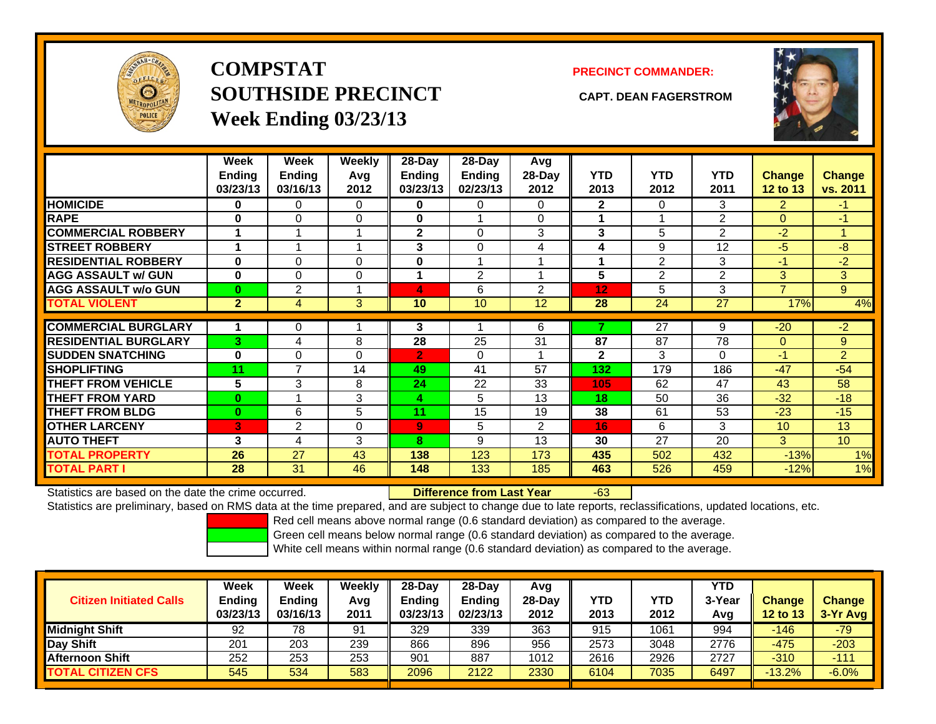

**COMPSTATSOUTHSIDE PRECINCT CAPT. DEAN FAGERSTROMWeek Ending 03/23/13**

## **PRECINCT COMMANDER:**



|                             | Week<br><b>Ending</b><br>03/23/13 | Week<br><b>Ending</b><br>03/16/13 | Weekly<br>Avg<br>2012 | 28-Day<br>Ending<br>03/23/13 | $28-Day$<br><b>Ending</b><br>02/23/13 | Avg<br>28-Day<br>2012 | <b>YTD</b><br>2013 | <b>YTD</b><br>2012 | <b>YTD</b><br>2011 | <b>Change</b><br>12 to 13 | Change<br>vs. 2011 |
|-----------------------------|-----------------------------------|-----------------------------------|-----------------------|------------------------------|---------------------------------------|-----------------------|--------------------|--------------------|--------------------|---------------------------|--------------------|
| <b>HOMICIDE</b>             | 0                                 | 0                                 | 0                     | 0                            | 0                                     | 0                     | $\mathbf{2}$       | 0                  | 3                  | 2                         | $-1$               |
| <b>RAPE</b>                 | 0                                 | 0                                 | 0                     | 0                            |                                       | $\Omega$              |                    |                    | $\overline{2}$     | $\Omega$                  | $-1$               |
| <b>COMMERCIAL ROBBERY</b>   | 1                                 |                                   |                       | $\mathbf{2}$                 | 0                                     | 3                     | 3                  | 5                  | $\overline{2}$     | $-2$                      | $\overline{A}$     |
| <b>STREET ROBBERY</b>       | 1                                 |                                   |                       | 3                            | 0                                     | 4                     | 4                  | 9                  | 12                 | $-5$                      | -8                 |
| <b>RESIDENTIAL ROBBERY</b>  | $\bf{0}$                          | 0                                 | $\Omega$              | 0                            |                                       |                       |                    | $\overline{2}$     | 3                  | -1                        | $-2$               |
| <b>AGG ASSAULT w/ GUN</b>   | 0                                 | 0                                 | $\Omega$              |                              | $\overline{2}$                        |                       | 5                  | $\overline{2}$     | $\overline{2}$     | 3                         | 3 <sup>1</sup>     |
| <b>AGG ASSAULT w/o GUN</b>  | $\bf{0}$                          | 2                                 |                       | 4                            | 6                                     | 2                     | 12                 | 5                  | 3                  | 7                         | 9                  |
| <b>TOTAL VIOLENT</b>        | $\overline{2}$                    | 4                                 | 3 <sup>1</sup>        | 10                           | 10                                    | 12                    | 28                 | 24                 | 27                 | 17%                       | 4%                 |
|                             |                                   |                                   |                       |                              |                                       |                       |                    |                    |                    |                           |                    |
| <b>COMMERCIAL BURGLARY</b>  | 1                                 | 0                                 |                       | 3                            |                                       | 6                     |                    | $\overline{27}$    | 9                  | $-20$                     | $-2$               |
| <b>RESIDENTIAL BURGLARY</b> | 3                                 | 4                                 | 8                     | 28                           | 25                                    | 31                    | 87                 | 87                 | 78                 | $\Omega$                  | 9                  |
| <b>SUDDEN SNATCHING</b>     | 0                                 | 0                                 | $\Omega$              | $\overline{2}$               | 0                                     |                       | $\mathbf{2}$       | 3                  | 0                  | $-1$                      | $\overline{2}$     |
| <b>SHOPLIFTING</b>          | 11                                | 7                                 | 14                    | 49                           | 41                                    | 57                    | 132                | 179                | 186                | $-47$                     | $-54$              |
| <b>THEFT FROM VEHICLE</b>   | 5                                 | 3                                 | 8                     | 24                           | 22                                    | 33                    | 105                | 62                 | 47                 | 43                        | 58                 |
| <b>THEFT FROM YARD</b>      | $\bf{0}$                          |                                   | 3                     | $\overline{\mathbf{4}}$      | 5                                     | 13                    | 18                 | 50                 | 36                 | $-32$                     | $-18$              |
| <b>THEFT FROM BLDG</b>      | $\bf{0}$                          | 6                                 | 5                     | 11                           | 15                                    | 19                    | 38                 | 61                 | 53                 | $-23$                     | $-15$              |
| <b>OTHER LARCENY</b>        | 3                                 | 2                                 | 0                     | 9                            | 5                                     | 2                     | 16                 | 6                  | 3                  | 10                        | 13                 |
| <b>AUTO THEFT</b>           | 3                                 | 4                                 | 3                     | 8                            | 9                                     | 13                    | 30                 | 27                 | 20                 | $\overline{3}$            | 10                 |
| <b>TOTAL PROPERTY</b>       | 26                                | 27                                | 43                    | 138                          | 123                                   | 173                   | 435                | 502                | 432                | $-13%$                    | 1%                 |
| <b>TOTAL PART I</b>         | 28                                | 31                                | 46                    | 148                          | 133                                   | 185                   | 463                | 526                | 459                | $-12%$                    | 1%                 |

Statistics are based on the date the crime occurred. **Difference from Last Year** 

### r -63

Statistics are preliminary, based on RMS data at the time prepared, and are subject to change due to late reports, reclassifications, updated locations, etc.

Red cell means above normal range (0.6 standard deviation) as compared to the average.

Green cell means below normal range (0.6 standard deviation) as compared to the average.

| <b>Citizen Initiated Calls</b> | Week<br><b>Ending</b><br>03/23/13 | Week<br><b>Ending</b><br>03/16/13 | Weekly<br>Avg<br>2011 | $28-Day$<br><b>Ending</b><br>03/23/13 | 28-Day<br><b>Ending</b><br>02/23/13 | Avg<br>28-Dav<br>2012 | YTD<br>2013 | YTD<br>2012 | <b>YTD</b><br>3-Year<br>Avg | <b>Change</b><br><b>12 to 13</b> | <b>Change</b><br>$3-Yr$ Avg |
|--------------------------------|-----------------------------------|-----------------------------------|-----------------------|---------------------------------------|-------------------------------------|-----------------------|-------------|-------------|-----------------------------|----------------------------------|-----------------------------|
| <b>Midnight Shift</b>          | 92                                | 78                                | 91                    | 329                                   | 339                                 | 363                   | 915         | 1061        | 994                         | -146                             | $-79$                       |
| Day Shift                      | 201                               | 203                               | 239                   | 866                                   | 896                                 | 956                   | 2573        | 3048        | 2776                        | $-475$                           | $-203$                      |
| <b>Afternoon Shift</b>         | 252                               | 253                               | 253                   | 901                                   | 887                                 | 1012                  | 2616        | 2926        | 2727                        | $-310$                           | $-111$                      |
| <b>TOTAL CITIZEN CFS</b>       | 545                               | 534                               | 583                   | 2096                                  | 2122                                | 2330                  | 6104        | 7035        | 6497                        | $-13.2%$                         | $-6.0%$                     |
|                                |                                   |                                   |                       |                                       |                                     |                       |             |             |                             |                                  |                             |